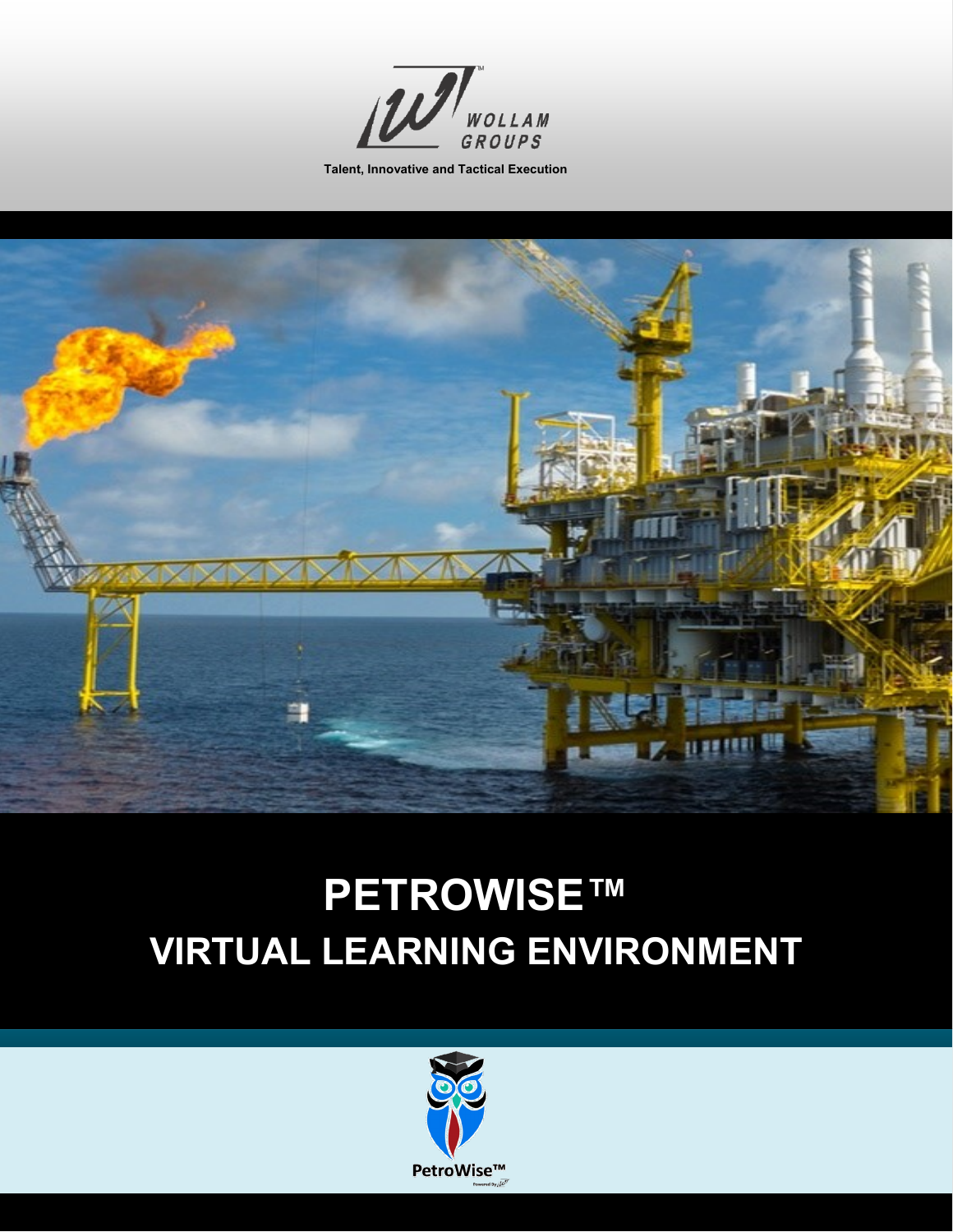

**Talent, Innovative and Tactical Execution**



# **PETROWISE™ VIRTUAL LEARNING ENVIRONMENT**

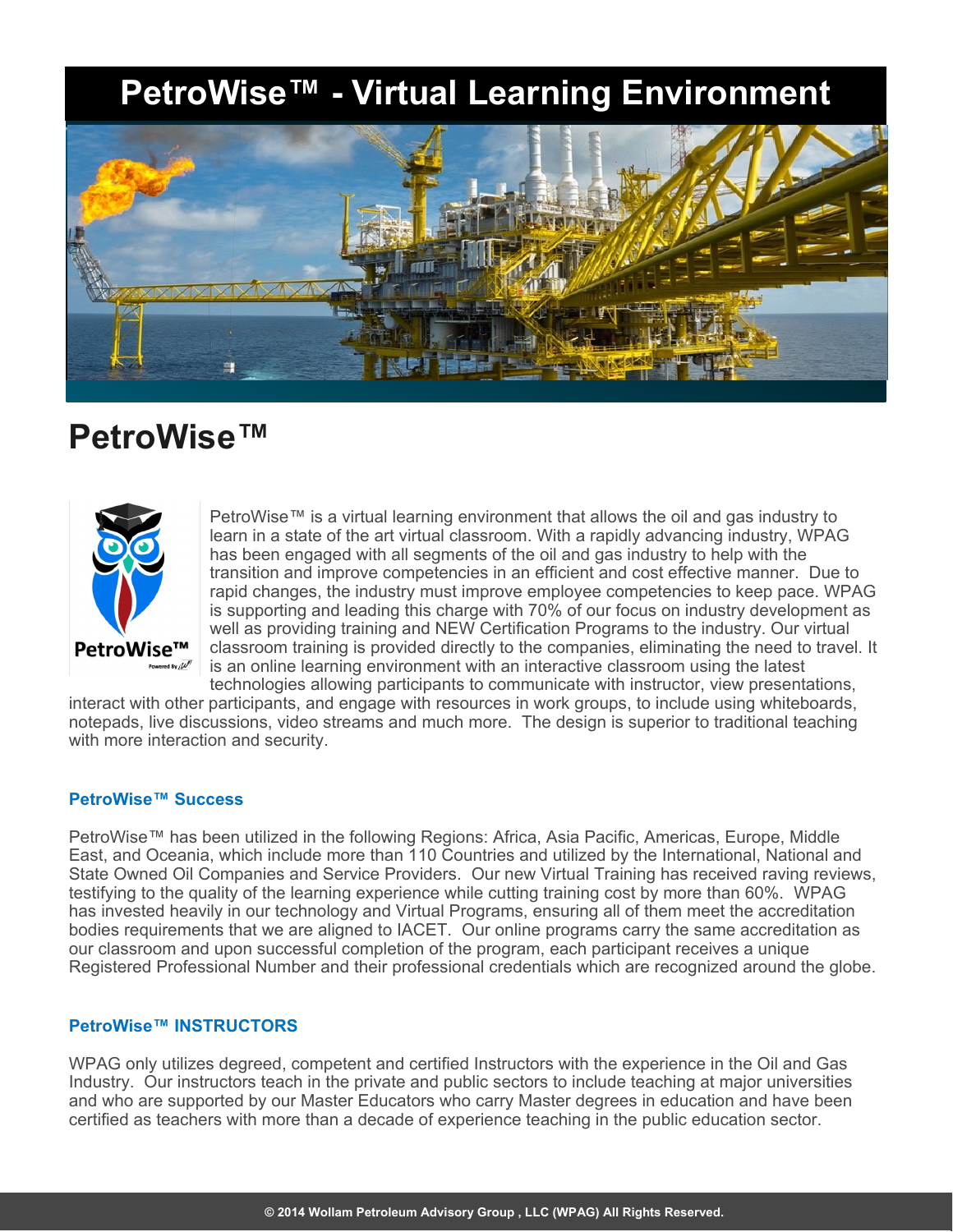### **PetroWise™ - Virtual Learning Environment**



### **PetroWise™**



PetroWise™ is a virtual learning environment that allows the oil and gas industry to learn in a state of the art virtual classroom. With a rapidly advancing industry, WPAG has been engaged with all segments of the oil and gas industry to help with the transition and improve competencies in an efficient and cost effective manner. Due to rapid changes, the industry must improve employee competencies to keep pace. WPAG is supporting and leading this charge with 70% of our focus on industry development as well as providing training and NEW Certification Programs to the industry. Our virtual classroom training is provided directly to the companies, eliminating the need to travel. It is an online learning environment with an interactive classroom using the latest technologies allowing participants to communicate with instructor, view presentations,

interact with other participants, and engage with resources in work groups, to include using whiteboards, notepads, live discussions, video streams and much more. The design is superior to traditional teaching with more interaction and security.

#### **PetroWise™ Success**

PetroWise™ has been utilized in the following Regions: Africa, Asia Pacific, Americas, Europe, Middle East, and Oceania, which include more than 110 Countries and utilized by the International, National and State Owned Oil Companies and Service Providers. Our new Virtual Training has received raving reviews, testifying to the quality of the learning experience while cutting training cost by more than 60%. WPAG has invested heavily in our technology and Virtual Programs, ensuring all of them meet the accreditation bodies requirements that we are aligned to IACET. Our online programs carry the same accreditation as our classroom and upon successful completion of the program, each participant receives a unique Registered Professional Number and their professional credentials which are recognized around the globe.

#### **PetroWise™ INSTRUCTORS**

WPAG only utilizes degreed, competent and certified Instructors with the experience in the Oil and Gas Industry. Our instructors teach in the private and public sectors to include teaching at major universities and who are supported by our Master Educators who carry Master degrees in education and have been certified as teachers with more than a decade of experience teaching in the public education sector.